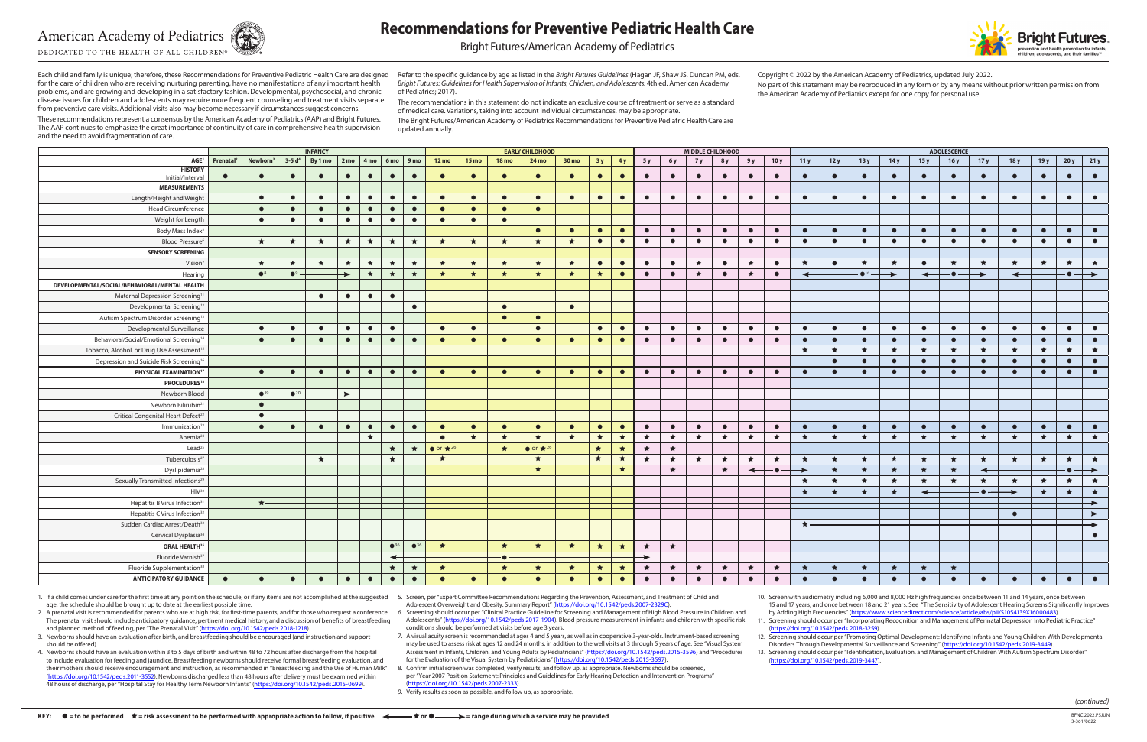# **American Academy of Pediatrics**

DEDICATED TO THE HEALTH OF ALL CHILDREN®



# **Recommendations for Preventive Pediatric Health Care**

Bright Futures/American Academy of Pediatrics

Each child and family is unique; therefore, these Recommendations for Preventive Pediatric Health Care are designed for the care of children who are receiving nurturing parenting, have no manifestations of any important health problems, and are growing and developing in a satisfactory fashion. Developmental, psychosocial, and chronic disease issues for children and adolescents may require more frequent counseling and treatment visits separate from preventive care visits. Additional visits also may become necessary if circumstances suggest concerns.

These recommendations represent a consensus by the American Academy of Pediatrics (AAP) and Bright Futures. The AAP continues to emphasize the great importance of continuity of care in comprehensive health supervision and the need to avoid fragmentation of care.

Refer to the specific guidance by age as listed in the *Bright Futures Guidelines* (Hagan JF, Shaw JS, Duncan PM, eds. *Bright Futures: Guidelines for Health Supervision of Infants, Children, and Adolescents.* 4th ed. American Academy of Pediatrics; 2017).

The recommendations in this statement do not indicate an exclusive course of treatment or serve as a standard of medical care. Variations, taking into account individual circumstances, may be appropriate.

The Bright Futures/American Academy of Pediatrics Recommendations for Preventive Pediatric Health Care are updated annually.

Copyright © 2022 by the American Academy of Pediatrics, updated July 2022. No part of this statement may be reproduced in any form or by any means without prior written permission from the American Academy of Pediatrics except for one copy for personal use.

1. If a child comes under care for the first time at any point on the schedule, or if any items are not accomplished at the suggested 5. Screen, per "Expert Committee Recommendations Regarding the Prevention, Assessment, a age, the schedule should be brought up to date at the earliest possible time.

2. A prenatal visit is recommended for parents who are at high risk, for first-time parents, and for those who request a conference. 6. Screening should occur per "Clinical Practice Guideline for Screening and Management o The prenatal visit should include anticipatory guidance, pertinent medical history, and a discussion of benefits of breastfeeding and planned method of feeding, per "The Prenatal Visit" ([https://doi.org/10.1542/peds.2018-1218\)](https://doi.org/10.1542/peds.2018-1218).

|                                                       | <b>INFANCY</b>        |                                                                                 |               |                    |           |           |                 |                               | <b>EARLY CHILDHOOD</b>                |                 |              |                                       |           |           |           | <b>MIDDLE CHILDHOOD</b> |           |           |           |                          |           |           | <b>ADOLESCENCE</b> |                          |           |              |           |                                      |               |               |           |               |
|-------------------------------------------------------|-----------------------|---------------------------------------------------------------------------------|---------------|--------------------|-----------|-----------|-----------------|-------------------------------|---------------------------------------|-----------------|--------------|---------------------------------------|-----------|-----------|-----------|-------------------------|-----------|-----------|-----------|--------------------------|-----------|-----------|--------------------|--------------------------|-----------|--------------|-----------|--------------------------------------|---------------|---------------|-----------|---------------|
| AGE <sup>1</sup>                                      | Prenatal <sup>2</sup> | Newborn <sup>3</sup>   3-5 d <sup>4</sup>   By 1 mo   2 mo   4 mo   6 mo   9 mo |               |                    |           |           |                 |                               | $12 \text{ mo}$                       | $15 \text{ mo}$ | <b>18 mo</b> | 24 mo                                 | 30 mo     | 3y        | 4y        | 5 y                     | 6 y       | 7y        | 8 y       | 9 y                      | 10y       | 11y       | 12y                | 13y                      | 14y       | 15y          | 16y       | 17y                                  | 18 y          | 19y           |           | $20y$ 21y     |
| <b>HISTORY</b><br>Initial/Interval                    | $\bullet$             | $\bullet$                                                                       | $\bullet$     | $\bullet$          | $\bullet$ | $\bullet$ | $\bullet$       | $\bullet$                     | $\bullet$                             | $\bullet$       | $\bullet$    | $\bullet$                             | $\bullet$ | $\bullet$ | $\bullet$ | $\bullet$               | $\bullet$ | $\bullet$ | $\bullet$ | $\bullet$                | $\bullet$ | $\bullet$ | $\bullet$          | $\bullet$                | $\bullet$ | $\bullet$    | $\bullet$ | $\bullet$                            | $\bullet$     | $\bullet$     | $\bullet$ | $\bullet$     |
| <b>MEASUREMENTS</b>                                   |                       |                                                                                 |               |                    |           |           |                 |                               |                                       |                 |              |                                       |           |           |           |                         |           |           |           |                          |           |           |                    |                          |           |              |           |                                      |               |               |           |               |
| Length/Height and Weight                              |                       | $\bullet$                                                                       | $\bullet$     | $\bullet$          | $\bullet$ | $\bullet$ | $\bullet$       | $\bullet$                     | $\bullet$                             | $\bullet$       | $\bullet$    | $\bullet$                             | $\bullet$ | $\bullet$ | $\bullet$ | $\bullet$               | $\bullet$ | $\bullet$ | $\bullet$ | $\bullet$                | $\bullet$ | $\bullet$ | $\bullet$          | $\bullet$                | $\bullet$ | $\bullet$    | $\bullet$ | $\bullet$                            | $\bullet$     | $\bullet$     | $\bullet$ | $\bullet$     |
| <b>Head Circumference</b>                             |                       | $\bullet$                                                                       | $\bullet$     | $\bullet$          | $\bullet$ | $\bullet$ | $\bullet$       | $\bullet$                     | $\bullet$                             | $\bullet$       | $\bullet$    | $\bullet$                             |           |           |           |                         |           |           |           |                          |           |           |                    |                          |           |              |           |                                      |               |               |           |               |
| Weight for Length                                     |                       | $\bullet$                                                                       | $\bullet$     | $\bullet$          | $\bullet$ | $\bullet$ | $\bullet$       | $\bullet$                     | $\bullet$                             | $\bullet$       | $\bullet$    |                                       |           |           |           |                         |           |           |           |                          |           |           |                    |                          |           |              |           |                                      |               |               |           |               |
| Body Mass Index                                       |                       |                                                                                 |               |                    |           |           |                 |                               |                                       |                 |              | $\bullet$                             | $\bullet$ | $\bullet$ | $\bullet$ | $\bullet$               | $\bullet$ | $\bullet$ | $\bullet$ | $\bullet$                | $\bullet$ | $\bullet$ | $\bullet$          | $\bullet$                | $\bullet$ | $\bullet$    | $\bullet$ | $\bullet$                            | $\bullet$     | $\bullet$     | $\bullet$ | $\bullet$     |
| Blood Pressure <sup>6</sup>                           |                       | $\star$                                                                         | $\star$       | $\star$            | $\star$   | $\star$   | $\star$         | $\star$                       | $\star$                               | $\star$         | $\star$      | $\star$                               | $\star$   | $\bullet$ | $\bullet$ | $\bullet$               | $\bullet$ | $\bullet$ | $\bullet$ | $\bullet$                | $\bullet$ | $\bullet$ | $\bullet$          | $\bullet$                | $\bullet$ | $\bullet$    | $\bullet$ | $\bullet$                            | $\bullet$     | $\bullet$     | $\bullet$ | $\bullet$     |
| <b>SENSORY SCREENING</b>                              |                       |                                                                                 |               |                    |           |           |                 |                               |                                       |                 |              |                                       |           |           |           |                         |           |           |           |                          |           |           |                    |                          |           |              |           |                                      |               |               |           |               |
| Vision                                                |                       | $\star$                                                                         | $\star$       | $\star$            | $\star$   | $\star$   | $\star$         | $\star$                       | $\star$                               | $\star$         | $\star$      | $\star$                               | $\star$   | $\bullet$ | $\bullet$ | $\bullet$               | $\bullet$ | $\star$   | $\bullet$ | $\star$                  | $\bullet$ | ★         | $\bullet$          | $\star$                  | $\star$   | $\bullet$    | $\star$   | $\star$                              | $\star$       | $\star$       | $\star$   | $\star$       |
| Hearing                                               |                       | $\bullet^8$                                                                     | $\bullet^9$ – | $\star$<br>$\star$ |           | $\star$   | $\star$         | $\star$<br>$\star$<br>$\star$ |                                       |                 | $\star$      | $\star$                               | $\bullet$ | $\bullet$ | $\bullet$ | $\star$                 | $\bullet$ | $\star$   | $\bullet$ | ↞                        |           | $\bullet$ |                    | $\overline{\phantom{0}}$ | - ●       |              | ↞         |                                      |               | $\rightarrow$ |           |               |
| DEVELOPMENTAL/SOCIAL/BEHAVIORAL/MENTAL HEALTH         |                       |                                                                                 |               |                    |           |           |                 |                               |                                       |                 |              |                                       |           |           |           |                         |           |           |           |                          |           |           |                    |                          |           |              |           |                                      |               |               |           |               |
| Maternal Depression Screening <sup>11</sup>           |                       |                                                                                 |               | $\bullet$          | $\bullet$ | $\bullet$ | $\bullet$       |                               |                                       |                 |              |                                       |           |           |           |                         |           |           |           |                          |           |           |                    |                          |           |              |           |                                      |               |               |           |               |
| Developmental Screening <sup>12</sup>                 |                       |                                                                                 |               |                    |           |           |                 | $\bullet$                     |                                       |                 | $\bullet$    |                                       | $\bullet$ |           |           |                         |           |           |           |                          |           |           |                    |                          |           |              |           |                                      |               |               |           |               |
| Autism Spectrum Disorder Screening <sup>13</sup>      |                       |                                                                                 |               |                    |           |           |                 |                               |                                       |                 | $\bullet$    | $\bullet$                             |           |           |           |                         |           |           |           |                          |           |           |                    |                          |           |              |           |                                      |               |               |           |               |
| Developmental Surveillance                            |                       | $\bullet$                                                                       | $\bullet$     | $\bullet$          | $\bullet$ | $\bullet$ | $\bullet$       |                               | $\bullet$                             | $\bullet$       |              | $\bullet$                             |           | $\bullet$ | $\bullet$ | $\bullet$               | $\bullet$ | $\bullet$ | $\bullet$ | $\bullet$                | $\bullet$ | $\bullet$ | $\bullet$          | $\bullet$                | $\bullet$ | $\bullet$    | $\bullet$ | $\bullet$                            | $\bullet$     | $\bullet$     | $\bullet$ | $\bullet$     |
| Behavioral/Social/Emotional Screening <sup>14</sup>   |                       | $\bullet$                                                                       | $\bullet$     | $\bullet$          | $\bullet$ | $\bullet$ | $\bullet$       | $\bullet$                     | $\bullet$                             | $\bullet$       | $\bullet$    | $\bullet$                             | $\bullet$ | $\bullet$ | $\bullet$ | $\bullet$               | $\bullet$ | $\bullet$ | $\bullet$ | $\bullet$                | $\bullet$ | $\bullet$ | $\bullet$          | $\bullet$                | $\bullet$ | $\bullet$    | $\bullet$ | $\bullet$                            | $\bullet$     | $\bullet$     | $\bullet$ | $\bullet$     |
| Tobacco, Alcohol, or Drug Use Assessment <sup>1</sup> |                       |                                                                                 |               |                    |           |           |                 |                               |                                       |                 |              |                                       |           |           |           |                         |           |           |           |                          |           | $\star$   | ★                  | $\star$                  | $\star$   | $\star$      | $\star$   | $\star$                              | $\star$       | $\star$       | $\star$   | $\star$       |
| Depression and Suicide Risk Screening <sup>16</sup>   |                       |                                                                                 |               |                    |           |           |                 |                               |                                       |                 |              |                                       |           |           |           |                         |           |           |           |                          |           |           | $\bullet$          | $\bullet$                | $\bullet$ | $\bullet$    | $\bullet$ | $\bullet$                            | $\bullet$     | $\bullet$     | $\bullet$ | $\bullet$     |
| PHYSICAL EXAMINATION <sup>17</sup>                    |                       | $\bullet$                                                                       | $\bullet$     | $\bullet$          | $\bullet$ | $\bullet$ | $\bullet$       | $\bullet$                     | $\bullet$                             | $\bullet$       | $\bullet$    | $\bullet$                             | $\bullet$ | $\bullet$ | $\bullet$ | $\bullet$               | $\bullet$ | $\bullet$ | $\bullet$ | $\bullet$                | $\bullet$ | $\bullet$ | $\bullet$          | $\bullet$                | $\bullet$ | $\bullet$    | $\bullet$ | $\bullet$                            | $\bullet$     | $\bullet$     | $\bullet$ | $\bullet$     |
| <b>PROCEDURES18</b>                                   |                       |                                                                                 |               |                    |           |           |                 |                               |                                       |                 |              |                                       |           |           |           |                         |           |           |           |                          |           |           |                    |                          |           |              |           |                                      |               |               |           |               |
| Newborn Blood                                         |                       | $\bullet$ <sup>19</sup>                                                         | $•^{20}$      |                    |           |           |                 |                               |                                       |                 |              |                                       |           |           |           |                         |           |           |           |                          |           |           |                    |                          |           |              |           |                                      |               |               |           |               |
| Newborn Bilirubin <sup>2</sup>                        |                       | $\bullet$                                                                       |               |                    |           |           |                 |                               |                                       |                 |              |                                       |           |           |           |                         |           |           |           |                          |           |           |                    |                          |           |              |           |                                      |               |               |           |               |
| Critical Congenital Heart Defect <sup>22</sup>        |                       | $\bullet$                                                                       |               |                    |           |           |                 |                               |                                       |                 |              |                                       |           |           |           |                         |           |           |           |                          |           |           |                    |                          |           |              |           |                                      |               |               |           |               |
| Immunization <sup>2</sup>                             |                       | $\bullet$                                                                       | $\bullet$     | $\bullet$          | $\bullet$ | $\bullet$ | $\bullet$       | $\bullet$                     | $\bullet$                             | $\bullet$       | $\bullet$    | $\bullet$                             | $\bullet$ | $\bullet$ | $\bullet$ | $\bullet$               | $\bullet$ | $\bullet$ | $\bullet$ | $\bullet$                | $\bullet$ | $\bullet$ | $\bullet$          | $\bullet$                | $\bullet$ | $\bullet$    | $\bullet$ | $\bullet$                            | $\bullet$     | $\bullet$     | $\bullet$ | $\bullet$     |
| Anemia <sup>24</sup>                                  |                       |                                                                                 |               |                    |           | $\star$   |                 |                               | $\bullet$                             | $\star$         | $\star$      | $\star$                               | $\star$   | $\star$   | $\star$   | $\star$                 | $\star$   | $\star$   | $\star$   | $\star$                  | $\star$   | $\star$   | $\star$            | ★                        | $\star$   | $\star$      | ★         | $\star$                              | $\star$       | $\star$       | $\star$   | 大             |
| Lead <sup>25</sup>                                    |                       |                                                                                 |               |                    |           |           | $\star$         | $\star$                       | $\bullet$ or $\bigstar$ <sup>26</sup> |                 | $\star$      | $\bullet$ or $\bigstar$ <sup>26</sup> |           | $\star$   | $\star$   | $\star$                 | $\star$   |           |           |                          |           |           |                    |                          |           |              |           |                                      |               |               |           |               |
| Tuberculosis <sup>2</sup>                             |                       |                                                                                 |               | $\star$            |           |           | $\star$         |                               | $\star$                               |                 |              | $\star$                               |           | $\star$   | $\star$   | $\star$                 | $\star$   | $\star$   | $\star$   | $\star$                  | $\star$   | $\star$   | $\star$            | $\star$                  | $\star$   | $\star$      | $\star$   | $\star$                              | $\star$       | $\star$       | $\star$   | $\star$       |
| Dyslipidemia <sup>28</sup>                            |                       |                                                                                 |               |                    |           |           |                 |                               |                                       |                 |              | $\star$                               |           |           | $\star$   |                         | $\star$   |           | $\star$   | $\overline{\phantom{0}}$ | –•–       |           | $\star$            | ★                        | $\star$   | $\star$      | $\star$   | $\leftarrow$                         |               |               |           | $\rightarrow$ |
| Sexually Transmitted Infections <sup>29</sup>         |                       |                                                                                 |               |                    |           |           |                 |                               |                                       |                 |              |                                       |           |           |           |                         |           |           |           |                          |           | ★         | $\star$            | $\star$                  | $\star$   | $\star$      | $\star$   | $\star$                              | ★             | $\star$       | $\star$   | ★             |
| HIV <sup>30</sup>                                     |                       |                                                                                 |               |                    |           |           |                 |                               |                                       |                 |              |                                       |           |           |           |                         |           |           |           |                          |           | $\star$   | ★                  | $\star$                  | $\star$   | $\leftarrow$ |           | $\cdot$ $\bullet$ $\hspace{0.05cm}-$ | $\rightarrow$ | $\star$       | $\star$   | $\star$       |
| Hepatitis B Virus Infection <sup>3</sup>              |                       | $\star$                                                                         |               |                    |           |           |                 |                               |                                       |                 |              |                                       |           |           |           |                         |           |           |           |                          |           |           |                    |                          |           |              |           |                                      |               |               |           |               |
| Hepatitis C Virus Infection <sup>32</sup>             |                       |                                                                                 |               |                    |           |           |                 |                               |                                       |                 |              |                                       |           |           |           |                         |           |           |           |                          |           |           |                    |                          |           |              |           |                                      | $\bullet$ –   |               |           |               |
| Sudden Cardiac Arrest/Death                           |                       |                                                                                 |               |                    |           |           |                 |                               |                                       |                 |              |                                       |           |           |           |                         |           |           |           |                          |           | $\star$   |                    |                          |           |              |           |                                      |               |               |           |               |
| Cervical Dysplasia <sup>34</sup>                      |                       |                                                                                 |               |                    |           |           |                 |                               |                                       |                 |              |                                       |           |           |           |                         |           |           |           |                          |           |           |                    |                          |           |              |           |                                      |               |               |           | $\bullet$     |
| <b>ORAL HEALTH35</b>                                  |                       |                                                                                 |               |                    |           |           | $^{\bullet}$ 36 | $^{\bullet}$ <sup>36</sup>    | $\star$                               |                 | $\star$      | $\star$                               | $\star$   | $\star$   | ★         | $\star$                 | $\star$   |           |           |                          |           |           |                    |                          |           |              |           |                                      |               |               |           |               |
| Fluoride Varnish <sup>37</sup>                        |                       |                                                                                 |               |                    |           |           | $\leftarrow$    |                               |                                       |                 |              |                                       |           |           |           | →                       |           |           |           |                          |           |           |                    |                          |           |              |           |                                      |               |               |           |               |
| Fluoride Supplementation <sup>38</sup>                |                       |                                                                                 |               |                    |           |           | $\star$         | $\star$                       | $\star$                               |                 | $\star$      | $\star$                               | $\star$   | $\star$   | $\star$   | ★                       | $\star$   | $\star$   | $\star$   | ★                        | $\star$   | $\star$   | ★                  | ★                        | $\star$   | ★            | $\star$   |                                      |               |               |           |               |
| <b>ANTICIPATORY GUIDANCE</b>                          | $\bullet$             | $\bullet$                                                                       | $\bullet$     | $\bullet$          | $\bullet$ | $\bullet$ | $\bullet$       | $\bullet$                     | $\bullet$                             | $\bullet$       | $\bullet$    | $\bullet$                             | $\bullet$ | $\bullet$ | $\bullet$ | $\bullet$               | $\bullet$ | $\bullet$ | $\bullet$ | $\bullet$                | $\bullet$ | $\bullet$ | $\bullet$          | $\bullet$                | $\bullet$ | $\bullet$    | $\bullet$ | $\bullet$                            | $\bullet$     | $\bullet$     | $\bullet$ | $\bullet$     |

8. Confirm initial screen was completed, verify results, and follow up, as appropriate. Newborns should be screened, per "Year 2007 Position Statement: Principles and Guidelines for Early Hearing Detection and Intervention Programs" https://doi.org/10.1542/peds.2007-2333).

10. Screen with audiometry including 6,000 and 8,000 Hz high frequencies once between 11 and 14 years, once between 15 and 17 years, and once between 18 and 21 years. See "The Sensitivity of Adolescent Hearing Screens Significantly Improves by Adding High Frequencies" [\(https://www.sciencedirect.com/science/article/abs/pii/S1054139X16000483](https://www.sciencedirect.com/science/article/abs/pii/S1054139X16000483))

*(continued)*

3. Newborns should have an evaluation after birth, and breastfeeding should be encouraged (and instruction and support should be offered).

4. Newborns should have an evaluation within 3 to 5 days of birth and within 48 to 72 hours after discharge from the hospital to include evaluation for feeding and jaundice. Breastfeeding newborns should receive formal breastfeeding evaluation, and their mothers should receive encouragement and instruction, as recommended in "Breastfeeding and the Use of Human Milk" [\(https://doi.org/10.1542/peds.2011-3552](https://doi.org/10.1542/peds.2011-3552)). Newborns discharged less than 48 hours after delivery must be examined within 48 hours of discharge, per "Hospital Stay for Healthy Term Newborn Infants" [\(https://doi.org/10.1542/peds.2015-0699\)](https://doi.org/10.1542/peds.2015-0699).

Adolescent Overweight and Obesity: Summary Report" [\(https://doi.org/10.1542/peds.2007-2329C\)](https://doi.org/10.1542/peds.2007-2329C).

Adolescents" [\(https://doi.org/10.1542/peds.2017-1904\)](https://doi.org/10.1542/peds.2017-1904). Blood pressure measurement in infants and children with specific risk conditions should be performed at visits before age 3 years.

7. A visual acuity screen is recommended at ages 4 and 5 years, as well as in cooperative 3-year-olds. Instrument-based screening may be used to assess risk at ages 12 and 24 months, in addition to the well visits at 3 through 5 years of age. See "Visual System Assessment in Infants, Children, and Young Adults by Pediatricians" ([https://doi.org/10.1542/peds.2015-3596\)](https://doi.org/10.1542/peds.2015-3596) and "Procedures for the Evaluation of the Visual System by Pediatricians" [\(https://doi.org/10.1542/peds.2015-3597](https://doi.org/10.1542/peds.2015-3597)).

9. Verify results as soon as possible, and follow up, as appropriate.

11. Screening should occur per "Incorporating Recognition and Management of Perinatal Depression Into Pediatric Practice" [\(https://doi.org/10.1542/peds.2018-3259](https://doi.org/10.1542/peds.2018-3259)).



12. Screening should occur per "Promoting Optimal Development: Identifying Infants and Young Children With Developmental Disorders Through Developmental Surveillance and Screening" (<https://doi.org/10.1542/peds.2019-3449>). 13. Screening should occur per "Identification, Evaluation, and Management of Children With Autism Spectrum Disorder"

[\(https://doi.org/10.1542/peds.2019-3447\)](https://doi.org/10.1542/peds.2019-3447).